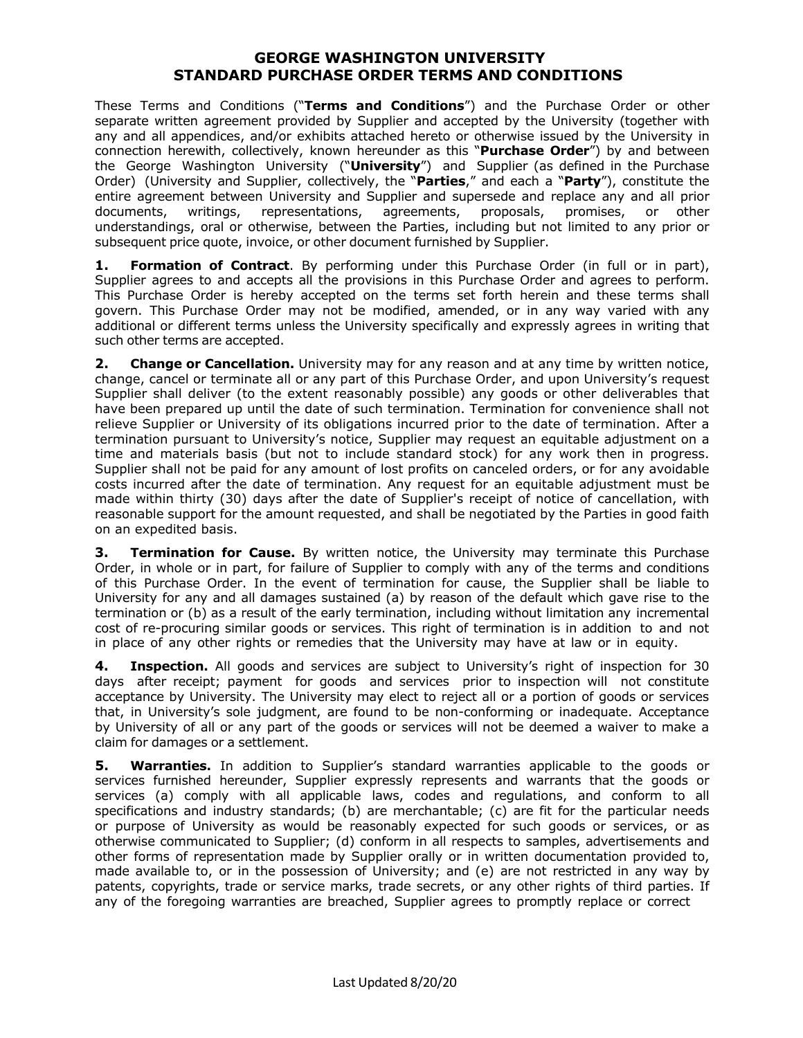These Terms and Conditions ("**Terms and Conditions**") and the Purchase Order or other separate written agreement provided by Supplier and accepted by the University (together with any and all appendices, and/or exhibits attached hereto or otherwise issued by the University in connection herewith, collectively, known hereunder as this "**Purchase Order**") by and between the George Washington University ("**University**") and Supplier (as defined in the Purchase Order) (University and Supplier, collectively, the "**Parties**," and each a "**Party**"), constitute the entire agreement between University and Supplier and supersede and replace any and all prior documents, writings, representations, agreements, proposals, promises, or other understandings, oral or otherwise, between the Parties, including but not limited to any prior or subsequent price quote, invoice, or other document furnished by Supplier.

**1. Formation of Contract**. By performing under this Purchase Order (in full or in part), Supplier agrees to and accepts all the provisions in this Purchase Order and agrees to perform. This Purchase Order is hereby accepted on the terms set forth herein and these terms shall govern. This Purchase Order may not be modified, amended, or in any way varied with any additional or different terms unless the University specifically and expressly agrees in writing that such other terms are accepted.

**2. Change or Cancellation.** University may for any reason and at any time by written notice, change, cancel or terminate all or any part of this Purchase Order, and upon University's request Supplier shall deliver (to the extent reasonably possible) any goods or other deliverables that have been prepared up until the date of such termination. Termination for convenience shall not relieve Supplier or University of its obligations incurred prior to the date of termination. After a termination pursuant to University's notice, Supplier may request an equitable adjustment on a time and materials basis (but not to include standard stock) for any work then in progress. Supplier shall not be paid for any amount of lost profits on canceled orders, or for any avoidable costs incurred after the date of termination. Any request for an equitable adjustment must be made within thirty (30) days after the date of Supplier's receipt of notice of cancellation, with reasonable support for the amount requested, and shall be negotiated by the Parties in good faith on an expedited basis.

**3. Termination for Cause.** By written notice, the University may terminate this Purchase Order, in whole or in part, for failure of Supplier to comply with any of the terms and conditions of this Purchase Order. In the event of termination for cause, the Supplier shall be liable to University for any and all damages sustained (a) by reason of the default which gave rise to the termination or (b) as a result of the early termination, including without limitation any incremental cost of re-procuring similar goods or services. This right of termination is in addition to and not in place of any other rights or remedies that the University may have at law or in equity.

**4. Inspection.** All goods and services are subject to University's right of inspection for 30 days after receipt; payment for goods and services prior to inspection will not constitute acceptance by University. The University may elect to reject all or a portion of goods or services that, in University's sole judgment, are found to be non-conforming or inadequate. Acceptance by University of all or any part of the goods or services will not be deemed a waiver to make a claim for damages or a settlement.

**5. Warranties.** In addition to Supplier's standard warranties applicable to the goods or services furnished hereunder, Supplier expressly represents and warrants that the goods or services (a) comply with all applicable laws, codes and regulations, and conform to all specifications and industry standards; (b) are merchantable; (c) are fit for the particular needs or purpose of University as would be reasonably expected for such goods or services, or as otherwise communicated to Supplier; (d) conform in all respects to samples, advertisements and other forms of representation made by Supplier orally or in written documentation provided to, made available to, or in the possession of University; and (e) are not restricted in any way by patents, copyrights, trade or service marks, trade secrets, or any other rights of third parties. If any of the foregoing warranties are breached, Supplier agrees to promptly replace or correct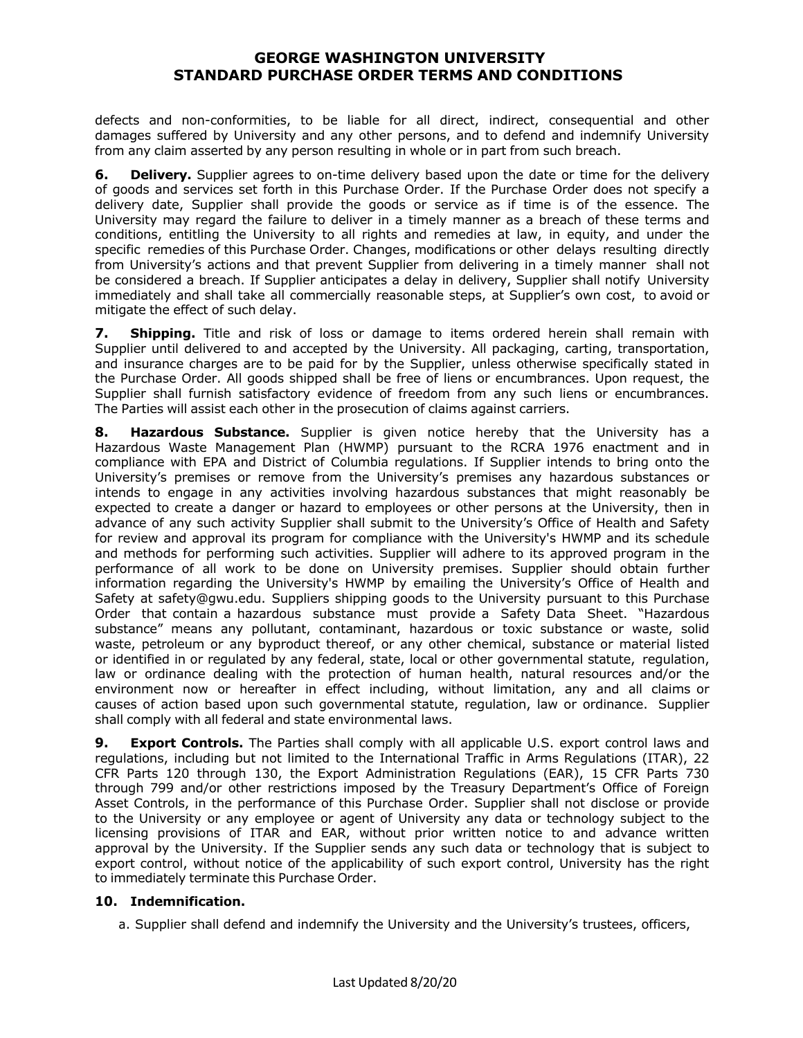defects and non-conformities, to be liable for all direct, indirect, consequential and other damages suffered by University and any other persons, and to defend and indemnify University from any claim asserted by any person resulting in whole or in part from such breach.

**6. Delivery.** Supplier agrees to on-time delivery based upon the date or time for the delivery of goods and services set forth in this Purchase Order. If the Purchase Order does not specify a delivery date, Supplier shall provide the goods or service as if time is of the essence. The University may regard the failure to deliver in a timely manner as a breach of these terms and conditions, entitling the University to all rights and remedies at law, in equity, and under the specific remedies of this Purchase Order. Changes, modifications or other delays resulting directly from University's actions and that prevent Supplier from delivering in a timely manner shall not be considered a breach. If Supplier anticipates a delay in delivery, Supplier shall notify University immediately and shall take all commercially reasonable steps, at Supplier's own cost, to avoid or mitigate the effect of such delay.

**7. Shipping.** Title and risk of loss or damage to items ordered herein shall remain with Supplier until delivered to and accepted by the University. All packaging, carting, transportation, and insurance charges are to be paid for by the Supplier, unless otherwise specifically stated in the Purchase Order. All goods shipped shall be free of liens or encumbrances. Upon request, the Supplier shall furnish satisfactory evidence of freedom from any such liens or encumbrances. The Parties will assist each other in the prosecution of claims against carriers.

**8. Hazardous Substance.** Supplier is given notice hereby that the University has a Hazardous Waste Management Plan (HWMP) pursuant to the RCRA 1976 enactment and in compliance with EPA and District of Columbia regulations. If Supplier intends to bring onto the University's premises or remove from the University's premises any hazardous substances or intends to engage in any activities involving hazardous substances that might reasonably be expected to create a danger or hazard to employees or other persons at the University, then in advance of any such activity Supplier shall submit to the University's Office of Health and Safety for review and approval its program for compliance with the University's HWMP and its schedule and methods for performing such activities. Supplier will adhere to its approved program in the performance of all work to be done on University premises. Supplier should obtain further information regarding the University's HWMP by emailing the University's Office of Health and Safety at safety@gwu.edu. Suppliers shipping goods to the University pursuant to this Purchase Order that contain a hazardous substance must provide a Safety Data Sheet. "Hazardous substance" means any pollutant, contaminant, hazardous or toxic substance or waste, solid waste, petroleum or any byproduct thereof, or any other chemical, substance or material listed or identified in or regulated by any federal, state, local or other governmental statute, regulation, law or ordinance dealing with the protection of human health, natural resources and/or the environment now or hereafter in effect including, without limitation, any and all claims or causes of action based upon such governmental statute, regulation, law or ordinance. Supplier shall comply with all federal and state environmental laws.

**9. Export Controls.** The Parties shall comply with all applicable U.S. export control laws and regulations, including but not limited to the International Traffic in Arms Regulations (ITAR), 22 CFR Parts 120 through 130, the Export Administration Regulations (EAR), 15 CFR Parts 730 through 799 and/or other restrictions imposed by the Treasury Department's Office of Foreign Asset Controls, in the performance of this Purchase Order. Supplier shall not disclose or provide to the University or any employee or agent of University any data or technology subject to the licensing provisions of ITAR and EAR, without prior written notice to and advance written approval by the University. If the Supplier sends any such data or technology that is subject to export control, without notice of the applicability of such export control, University has the right to immediately terminate this Purchase Order.

#### **10. Indemnification.**

a. Supplier shall defend and indemnify the University and the University's trustees, officers,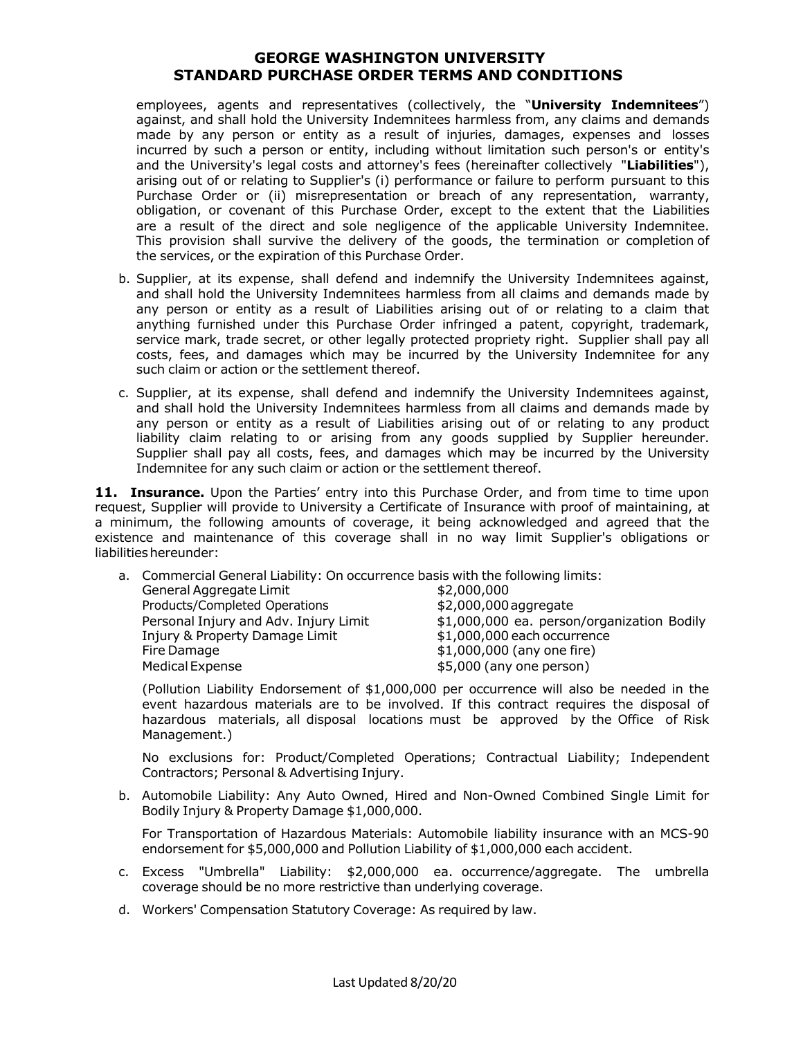employees, agents and representatives (collectively, the "**University Indemnitees**") against, and shall hold the University Indemnitees harmless from, any claims and demands made by any person or entity as a result of injuries, damages, expenses and losses incurred by such a person or entity, including without limitation such person's or entity's and the University's legal costs and attorney's fees (hereinafter collectively "**Liabilities**"), arising out of or relating to Supplier's (i) performance or failure to perform pursuant to this Purchase Order or (ii) misrepresentation or breach of any representation, warranty, obligation, or covenant of this Purchase Order, except to the extent that the Liabilities are a result of the direct and sole negligence of the applicable University Indemnitee. This provision shall survive the delivery of the goods, the termination or completion of the services, or the expiration of this Purchase Order.

- b. Supplier, at its expense, shall defend and indemnify the University Indemnitees against, and shall hold the University Indemnitees harmless from all claims and demands made by any person or entity as a result of Liabilities arising out of or relating to a claim that anything furnished under this Purchase Order infringed a patent, copyright, trademark, service mark, trade secret, or other legally protected propriety right. Supplier shall pay all costs, fees, and damages which may be incurred by the University Indemnitee for any such claim or action or the settlement thereof.
- c. Supplier, at its expense, shall defend and indemnify the University Indemnitees against, and shall hold the University Indemnitees harmless from all claims and demands made by any person or entity as a result of Liabilities arising out of or relating to any product liability claim relating to or arising from any goods supplied by Supplier hereunder. Supplier shall pay all costs, fees, and damages which may be incurred by the University Indemnitee for any such claim or action or the settlement thereof.

**11. Insurance.** Upon the Parties' entry into this Purchase Order, and from time to time upon request, Supplier will provide to University a Certificate of Insurance with proof of maintaining, at a minimum, the following amounts of coverage, it being acknowledged and agreed that the existence and maintenance of this coverage shall in no way limit Supplier's obligations or liabilities hereunder:

a. Commercial General Liability: On occurrence basis with the following limits:

| General Aggregate Limit               | \$2,000,000                                |
|---------------------------------------|--------------------------------------------|
| Products/Completed Operations         | \$2,000,000 aggregate                      |
| Personal Injury and Adv. Injury Limit | \$1,000,000 ea. person/organization Bodily |
| Injury & Property Damage Limit        | \$1,000,000 each occurrence                |
| Fire Damage                           | \$1,000,000 (any one fire)                 |
| <b>Medical Expense</b>                | \$5,000 (any one person)                   |

(Pollution Liability Endorsement of \$1,000,000 per occurrence will also be needed in the event hazardous materials are to be involved. If this contract requires the disposal of hazardous materials, all disposal locations must be approved by the Office of Risk Management.)

No exclusions for: Product/Completed Operations; Contractual Liability; Independent Contractors; Personal & Advertising Injury.

b. Automobile Liability: Any Auto Owned, Hired and Non-Owned Combined Single Limit for Bodily Injury & Property Damage \$1,000,000.

For Transportation of Hazardous Materials: Automobile liability insurance with an MCS-90 endorsement for \$5,000,000 and Pollution Liability of \$1,000,000 each accident.

- c. Excess "Umbrella" Liability: \$2,000,000 ea. occurrence/aggregate. The umbrella coverage should be no more restrictive than underlying coverage.
- d. Workers' Compensation Statutory Coverage: As required by law.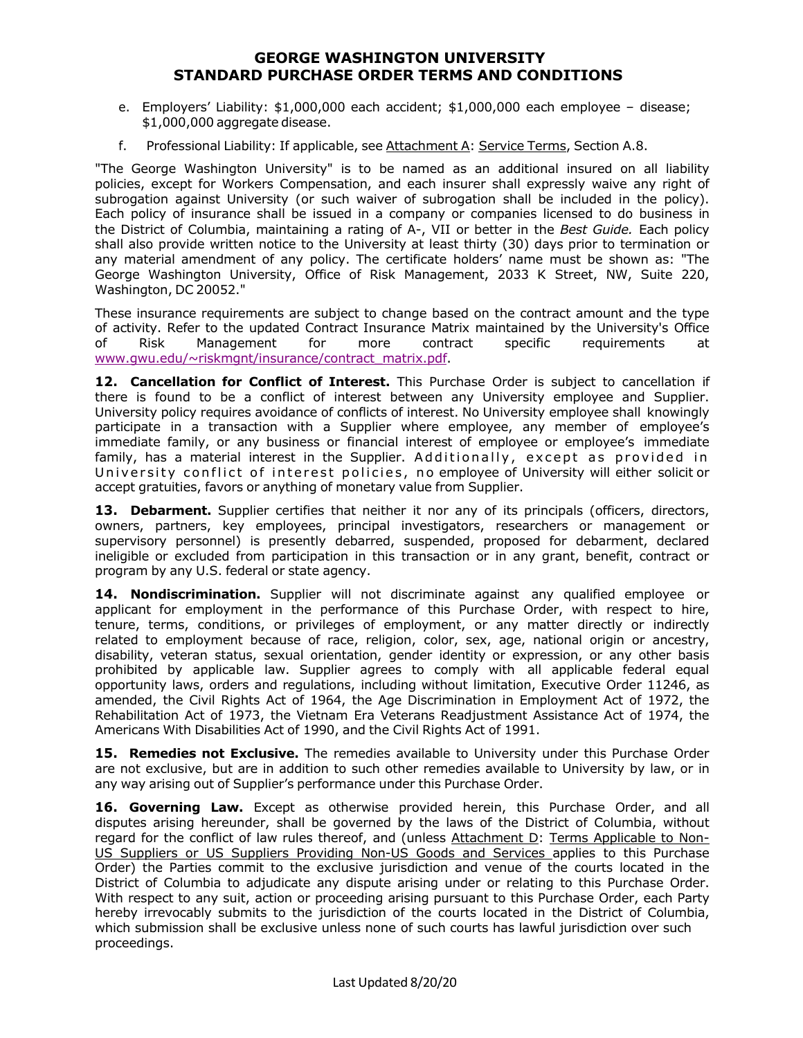- e. Employers' Liability: \$1,000,000 each accident; \$1,000,000 each employee disease; \$1,000,000 aggregate disease.
- f. Professional Liability: If applicable, see Attachment A: Service Terms, Section A.8.

"The George Washington University" is to be named as an additional insured on all liability policies, except for Workers Compensation, and each insurer shall expressly waive any right of subrogation against University (or such waiver of subrogation shall be included in the policy). Each policy of insurance shall be issued in a company or companies licensed to do business in the District of Columbia, maintaining a rating of A-, VII or better in the *Best Guide.* Each policy shall also provide written notice to the University at least thirty (30) days prior to termination or any material amendment of any policy. The certificate holders' name must be shown as: "The George Washington University, Office of Risk Management, 2033 K Street, NW, Suite 220, Washington, DC 20052."

These insurance requirements are subject to change based on the contract amount and the type of activity. Refer to the updated Contract Insurance Matrix maintained by the University's Office of Risk Management for more contract specific requirements at www.gwu.edu/~riskmgnt/insurance/contract\_matrix.pdf.

**12. Cancellation for Conflict of Interest.** This Purchase Order is subject to cancellation if there is found to be a conflict of interest between any University employee and Supplier. University policy requires avoidance of conflicts of interest. No University employee shall knowingly participate in a transaction with a Supplier where employee, any member of employee's immediate family, or any business or financial interest of employee or employee's immediate family, has a material interest in the Supplier. Additionally, except as provided in University conflict of interest policies, no employee of University will either solicit or accept gratuities, favors or anything of monetary value from Supplier.

13. Debarment. Supplier certifies that neither it nor any of its principals (officers, directors, owners, partners, key employees, principal investigators, researchers or management or supervisory personnel) is presently debarred, suspended, proposed for debarment, declared ineligible or excluded from participation in this transaction or in any grant, benefit, contract or program by any U.S. federal or state agency.

**14. Nondiscrimination.** Supplier will not discriminate against any qualified employee or applicant for employment in the performance of this Purchase Order, with respect to hire, tenure, terms, conditions, or privileges of employment, or any matter directly or indirectly related to employment because of race, religion, color, sex, age, national origin or ancestry, disability, veteran status, sexual orientation, gender identity or expression, or any other basis prohibited by applicable law. Supplier agrees to comply with all applicable federal equal opportunity laws, orders and regulations, including without limitation, Executive Order 11246, as amended, the Civil Rights Act of 1964, the Age Discrimination in Employment Act of 1972, the Rehabilitation Act of 1973, the Vietnam Era Veterans Readjustment Assistance Act of 1974, the Americans With Disabilities Act of 1990, and the Civil Rights Act of 1991.

**15. Remedies not Exclusive.** The remedies available to University under this Purchase Order are not exclusive, but are in addition to such other remedies available to University by law, or in any way arising out of Supplier's performance under this Purchase Order.

**16. Governing Law.** Except as otherwise provided herein, this Purchase Order, and all disputes arising hereunder, shall be governed by the laws of the District of Columbia, without regard for the conflict of law rules thereof, and (unless Attachment D: Terms Applicable to Non-US Suppliers or US Suppliers Providing Non-US Goods and Services applies to this Purchase Order) the Parties commit to the exclusive jurisdiction and venue of the courts located in the District of Columbia to adjudicate any dispute arising under or relating to this Purchase Order. With respect to any suit, action or proceeding arising pursuant to this Purchase Order, each Party hereby irrevocably submits to the jurisdiction of the courts located in the District of Columbia, which submission shall be exclusive unless none of such courts has lawful jurisdiction over such proceedings.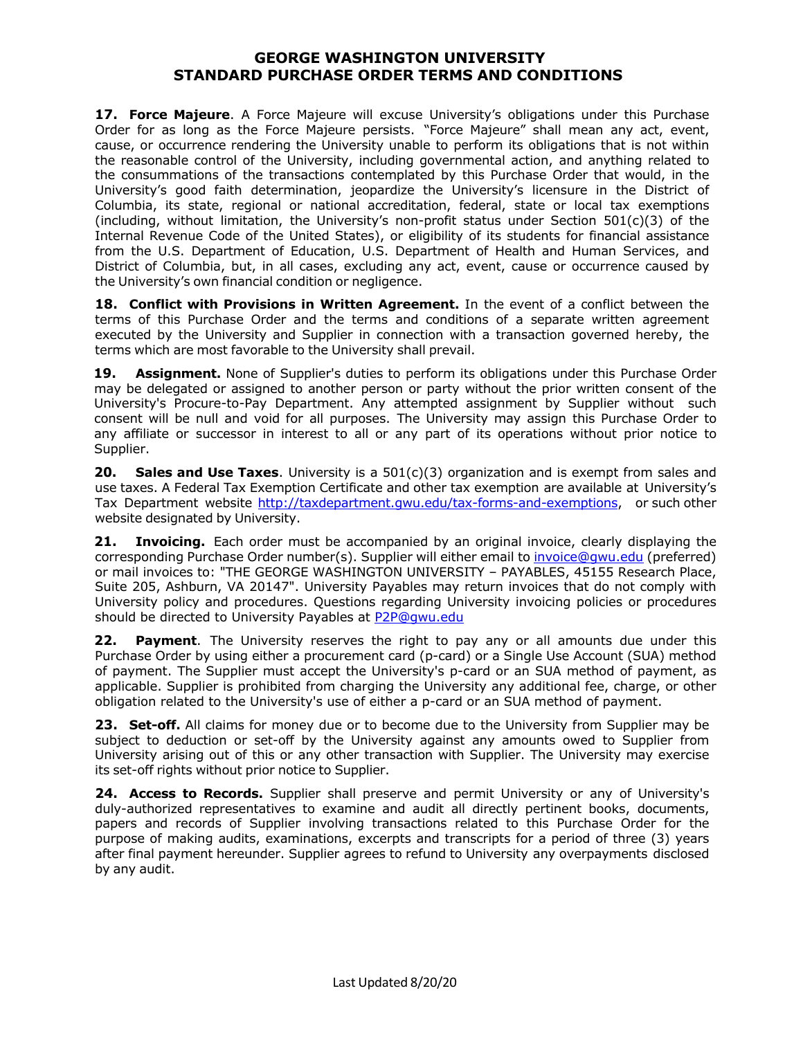**17. Force Majeure**. A Force Majeure will excuse University's obligations under this Purchase Order for as long as the Force Majeure persists. "Force Majeure" shall mean any act, event, cause, or occurrence rendering the University unable to perform its obligations that is not within the reasonable control of the University, including governmental action, and anything related to the consummations of the transactions contemplated by this Purchase Order that would, in the University's good faith determination, jeopardize the University's licensure in the District of Columbia, its state, regional or national accreditation, federal, state or local tax exemptions (including, without limitation, the University's non-profit status under Section 501(c)(3) of the Internal Revenue Code of the United States), or eligibility of its students for financial assistance from the U.S. Department of Education, U.S. Department of Health and Human Services, and District of Columbia, but, in all cases, excluding any act, event, cause or occurrence caused by the University's own financial condition or negligence.

**18. Conflict with Provisions in Written Agreement.** In the event of a conflict between the terms of this Purchase Order and the terms and conditions of a separate written agreement executed by the University and Supplier in connection with a transaction governed hereby, the terms which are most favorable to the University shall prevail.

**19. Assignment.** None of Supplier's duties to perform its obligations under this Purchase Order may be delegated or assigned to another person or party without the prior written consent of the University's Procure-to-Pay Department. Any attempted assignment by Supplier without such consent will be null and void for all purposes. The University may assign this Purchase Order to any affiliate or successor in interest to all or any part of its operations without prior notice to Supplier.

**20. Sales and Use Taxes**. University is a 501(c)(3) organization and is exempt from sales and use taxes. A Federal Tax Exemption Certificate and other tax exemption are available at University's Tax Department website http://taxdepartment.gwu.edu/tax-forms-and-exemptions, or such other website designated by University.

**21. Invoicing.** Each order must be accompanied by an original invoice, clearly displaying the corresponding Purchase Order number(s). Supplier will either email to invoice@gwu.edu (preferred) or mail invoices to: "THE GEORGE WASHINGTON UNIVERSITY – PAYABLES, 45155 Research Place, Suite 205, Ashburn, VA 20147". University Payables may return invoices that do not comply with University policy and procedures. Questions regarding University invoicing policies or procedures should be directed to University Payables at P2P@gwu.edu

**22. Payment**. The University reserves the right to pay any or all amounts due under this Purchase Order by using either a procurement card (p-card) or a Single Use Account (SUA) method of payment. The Supplier must accept the University's p-card or an SUA method of payment, as applicable. Supplier is prohibited from charging the University any additional fee, charge, or other obligation related to the University's use of either a p-card or an SUA method of payment.

**23. Set-off.** All claims for money due or to become due to the University from Supplier may be subject to deduction or set-off by the University against any amounts owed to Supplier from University arising out of this or any other transaction with Supplier. The University may exercise its set-off rights without prior notice to Supplier.

**24. Access to Records.** Supplier shall preserve and permit University or any of University's duly-authorized representatives to examine and audit all directly pertinent books, documents, papers and records of Supplier involving transactions related to this Purchase Order for the purpose of making audits, examinations, excerpts and transcripts for a period of three (3) years after final payment hereunder. Supplier agrees to refund to University any overpayments disclosed by any audit.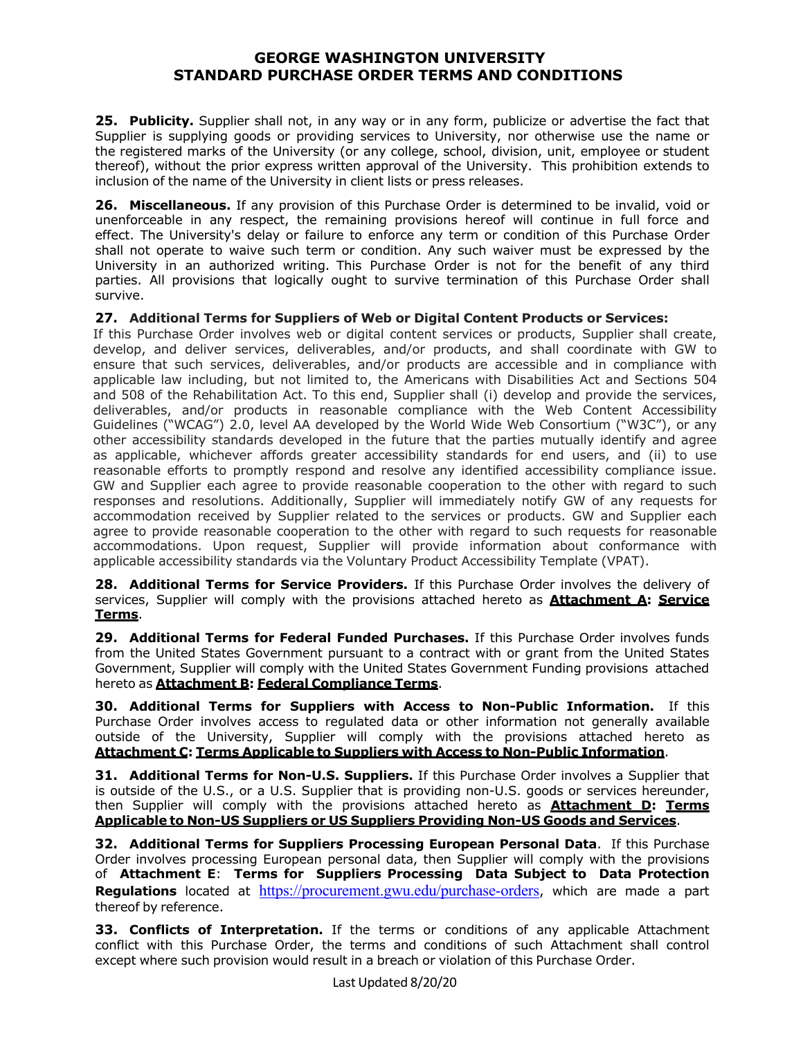**25. Publicity.** Supplier shall not, in any way or in any form, publicize or advertise the fact that Supplier is supplying goods or providing services to University, nor otherwise use the name or the registered marks of the University (or any college, school, division, unit, employee or student thereof), without the prior express written approval of the University. This prohibition extends to inclusion of the name of the University in client lists or press releases.

**26. Miscellaneous.** If any provision of this Purchase Order is determined to be invalid, void or unenforceable in any respect, the remaining provisions hereof will continue in full force and effect. The University's delay or failure to enforce any term or condition of this Purchase Order shall not operate to waive such term or condition. Any such waiver must be expressed by the University in an authorized writing. This Purchase Order is not for the benefit of any third parties. All provisions that logically ought to survive termination of this Purchase Order shall survive.

**27. Additional Terms for Suppliers of Web or Digital Content Products or Services:**

If this Purchase Order involves web or digital content services or products, Supplier shall create, develop, and deliver services, deliverables, and/or products, and shall coordinate with GW to ensure that such services, deliverables, and/or products are accessible and in compliance with applicable law including, but not limited to, the Americans with Disabilities Act and Sections 504 and 508 of the Rehabilitation Act. To this end, Supplier shall (i) develop and provide the services, deliverables, and/or products in reasonable compliance with the Web Content Accessibility Guidelines ("WCAG") 2.0, level AA developed by the World Wide Web Consortium ("W3C"), or any other accessibility standards developed in the future that the parties mutually identify and agree as applicable, whichever affords greater accessibility standards for end users, and (ii) to use reasonable efforts to promptly respond and resolve any identified accessibility compliance issue. GW and Supplier each agree to provide reasonable cooperation to the other with regard to such responses and resolutions. Additionally, Supplier will immediately notify GW of any requests for accommodation received by Supplier related to the services or products. GW and Supplier each agree to provide reasonable cooperation to the other with regard to such requests for reasonable accommodations. Upon request, Supplier will provide information about conformance with applicable accessibility standards via the Voluntary Product Accessibility Template (VPAT).

**28. Additional Terms for Service Providers.** If this Purchase Order involves the delivery of services, Supplier will comply with the provisions attached hereto as **Attachment A: Service Terms**.

**29. Additional Terms for Federal Funded Purchases.** If this Purchase Order involves funds from the United States Government pursuant to a contract with or grant from the United States Government, Supplier will comply with the United States Government Funding provisions attached hereto as **Attachment B: Federal Compliance Terms**.

**30. Additional Terms for Suppliers with Access to Non-Public Information.** If this Purchase Order involves access to regulated data or other information not generally available outside of the University, Supplier will comply with the provisions attached hereto as **Attachment C: Terms Applicable to Suppliers with Access to Non-Public Information**.

**31. Additional Terms for Non-U.S. Suppliers.** If this Purchase Order involves a Supplier that is outside of the U.S., or a U.S. Supplier that is providing non-U.S. goods or services hereunder, then Supplier will comply with the provisions attached hereto as **Attachment D: Terms Applicable to Non-US Suppliers or US Suppliers Providing Non-US Goods and Services**.

**32. Additional Terms for Suppliers Processing European Personal Data**. If this Purchase Order involves processing European personal data, then Supplier will comply with the provisions of **Attachment E**: **Terms for Suppliers Processing Data Subject to Data Protection Regulations** located at https://procurement.gwu.edu/purchase-orders, which are made a part thereof by reference.

**33. Conflicts of Interpretation.** If the terms or conditions of any applicable Attachment conflict with this Purchase Order, the terms and conditions of such Attachment shall control except where such provision would result in a breach or violation of this Purchase Order.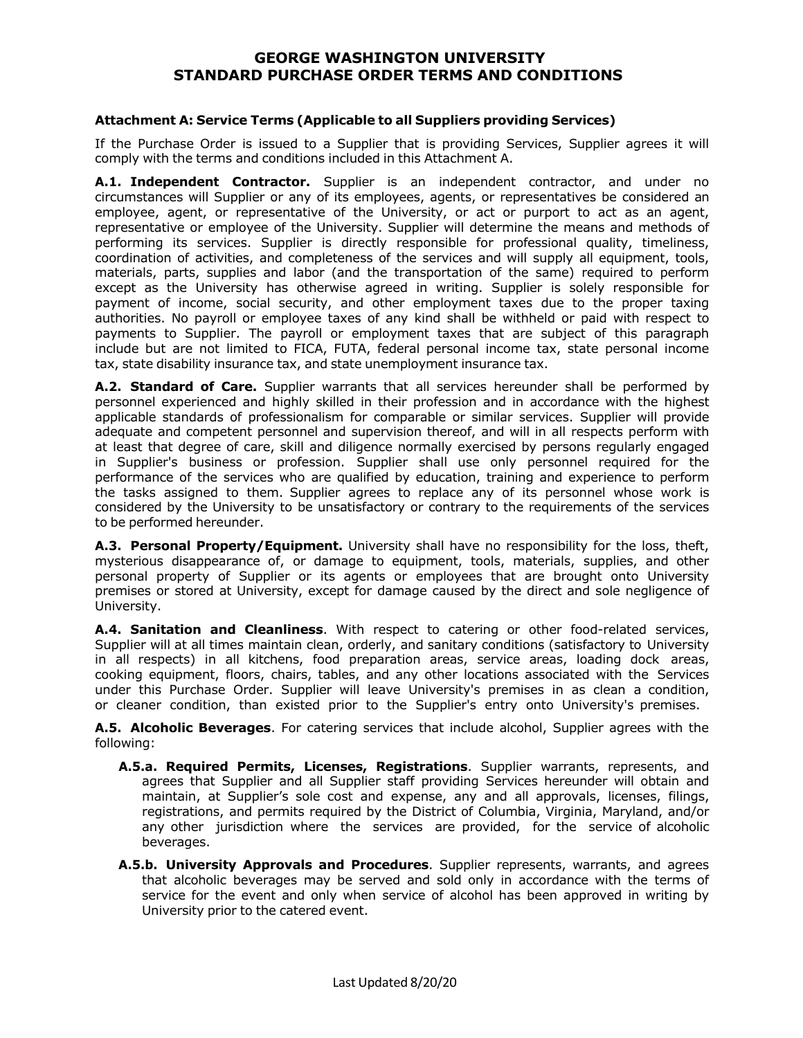#### **Attachment A: Service Terms (Applicable to all Suppliers providing Services)**

If the Purchase Order is issued to a Supplier that is providing Services, Supplier agrees it will comply with the terms and conditions included in this Attachment A.

**A.1. Independent Contractor.** Supplier is an independent contractor, and under no circumstances will Supplier or any of its employees, agents, or representatives be considered an employee, agent, or representative of the University, or act or purport to act as an agent, representative or employee of the University. Supplier will determine the means and methods of performing its services. Supplier is directly responsible for professional quality, timeliness, coordination of activities, and completeness of the services and will supply all equipment, tools, materials, parts, supplies and labor (and the transportation of the same) required to perform except as the University has otherwise agreed in writing. Supplier is solely responsible for payment of income, social security, and other employment taxes due to the proper taxing authorities. No payroll or employee taxes of any kind shall be withheld or paid with respect to payments to Supplier. The payroll or employment taxes that are subject of this paragraph include but are not limited to FICA, FUTA, federal personal income tax, state personal income tax, state disability insurance tax, and state unemployment insurance tax.

**A.2. Standard of Care.** Supplier warrants that all services hereunder shall be performed by personnel experienced and highly skilled in their profession and in accordance with the highest applicable standards of professionalism for comparable or similar services. Supplier will provide adequate and competent personnel and supervision thereof, and will in all respects perform with at least that degree of care, skill and diligence normally exercised by persons regularly engaged in Supplier's business or profession. Supplier shall use only personnel required for the performance of the services who are qualified by education, training and experience to perform the tasks assigned to them. Supplier agrees to replace any of its personnel whose work is considered by the University to be unsatisfactory or contrary to the requirements of the services to be performed hereunder.

**A.3. Personal Property/Equipment.** University shall have no responsibility for the loss, theft, mysterious disappearance of, or damage to equipment, tools, materials, supplies, and other personal property of Supplier or its agents or employees that are brought onto University premises or stored at University, except for damage caused by the direct and sole negligence of University.

**A.4. Sanitation and Cleanliness**. With respect to catering or other food-related services, Supplier will at all times maintain clean, orderly, and sanitary conditions (satisfactory to University in all respects) in all kitchens, food preparation areas, service areas, loading dock areas, cooking equipment, floors, chairs, tables, and any other locations associated with the Services under this Purchase Order. Supplier will leave University's premises in as clean a condition, or cleaner condition, than existed prior to the Supplier's entry onto University's premises.

**A.5. Alcoholic Beverages**. For catering services that include alcohol, Supplier agrees with the following:

- **A.5.a. Required Permits, Licenses, Registrations**. Supplier warrants, represents, and agrees that Supplier and all Supplier staff providing Services hereunder will obtain and maintain, at Supplier's sole cost and expense, any and all approvals, licenses, filings, registrations, and permits required by the District of Columbia, Virginia, Maryland, and/or any other jurisdiction where the services are provided, for the service of alcoholic beverages.
- **A.5.b. University Approvals and Procedures**. Supplier represents, warrants, and agrees that alcoholic beverages may be served and sold only in accordance with the terms of service for the event and only when service of alcohol has been approved in writing by University prior to the catered event.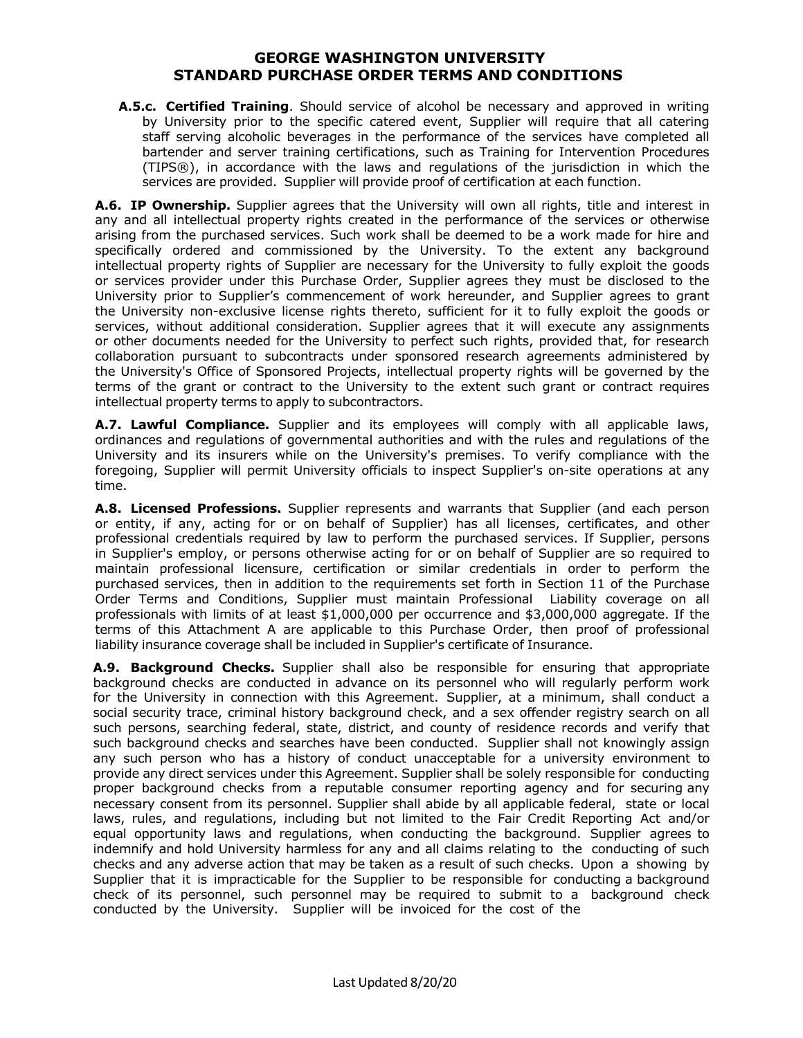**A.5.c. Certified Training**. Should service of alcohol be necessary and approved in writing by University prior to the specific catered event, Supplier will require that all catering staff serving alcoholic beverages in the performance of the services have completed all bartender and server training certifications, such as Training for Intervention Procedures (TIPS®), in accordance with the laws and regulations of the jurisdiction in which the services are provided. Supplier will provide proof of certification at each function.

**A.6. IP Ownership.** Supplier agrees that the University will own all rights, title and interest in any and all intellectual property rights created in the performance of the services or otherwise arising from the purchased services. Such work shall be deemed to be a work made for hire and specifically ordered and commissioned by the University. To the extent any background intellectual property rights of Supplier are necessary for the University to fully exploit the goods or services provider under this Purchase Order, Supplier agrees they must be disclosed to the University prior to Supplier's commencement of work hereunder, and Supplier agrees to grant the University non-exclusive license rights thereto, sufficient for it to fully exploit the goods or services, without additional consideration. Supplier agrees that it will execute any assignments or other documents needed for the University to perfect such rights, provided that, for research collaboration pursuant to subcontracts under sponsored research agreements administered by the University's Office of Sponsored Projects, intellectual property rights will be governed by the terms of the grant or contract to the University to the extent such grant or contract requires intellectual property terms to apply to subcontractors.

**A.7. Lawful Compliance.** Supplier and its employees will comply with all applicable laws, ordinances and regulations of governmental authorities and with the rules and regulations of the University and its insurers while on the University's premises. To verify compliance with the foregoing, Supplier will permit University officials to inspect Supplier's on-site operations at any time.

**A.8. Licensed Professions.** Supplier represents and warrants that Supplier (and each person or entity, if any, acting for or on behalf of Supplier) has all licenses, certificates, and other professional credentials required by law to perform the purchased services. If Supplier, persons in Supplier's employ, or persons otherwise acting for or on behalf of Supplier are so required to maintain professional licensure, certification or similar credentials in order to perform the purchased services, then in addition to the requirements set forth in Section 11 of the Purchase Order Terms and Conditions, Supplier must maintain Professional Liability coverage on all professionals with limits of at least \$1,000,000 per occurrence and \$3,000,000 aggregate. If the terms of this Attachment A are applicable to this Purchase Order, then proof of professional liability insurance coverage shall be included in Supplier's certificate of Insurance.

**A.9. Background Checks.** Supplier shall also be responsible for ensuring that appropriate background checks are conducted in advance on its personnel who will regularly perform work for the University in connection with this Agreement. Supplier, at a minimum, shall conduct a social security trace, criminal history background check, and a sex offender registry search on all such persons, searching federal, state, district, and county of residence records and verify that such background checks and searches have been conducted. Supplier shall not knowingly assign any such person who has a history of conduct unacceptable for a university environment to provide any direct services under this Agreement. Supplier shall be solely responsible for conducting proper background checks from a reputable consumer reporting agency and for securing any necessary consent from its personnel. Supplier shall abide by all applicable federal, state or local laws, rules, and regulations, including but not limited to the Fair Credit Reporting Act and/or equal opportunity laws and regulations, when conducting the background. Supplier agrees to indemnify and hold University harmless for any and all claims relating to the conducting of such checks and any adverse action that may be taken as a result of such checks. Upon a showing by Supplier that it is impracticable for the Supplier to be responsible for conducting a background check of its personnel, such personnel may be required to submit to a background check conducted by the University. Supplier will be invoiced for the cost of the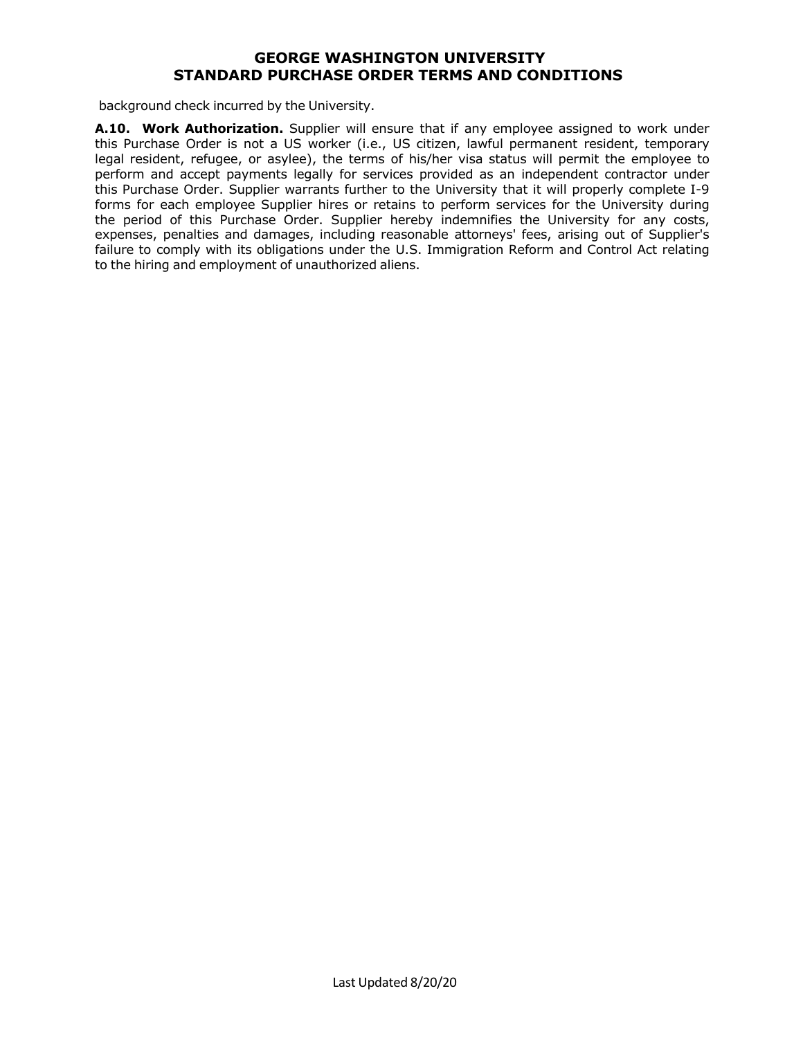background check incurred by the University.

**A.10. Work Authorization.** Supplier will ensure that if any employee assigned to work under this Purchase Order is not a US worker (i.e., US citizen, lawful permanent resident, temporary legal resident, refugee, or asylee), the terms of his/her visa status will permit the employee to perform and accept payments legally for services provided as an independent contractor under this Purchase Order. Supplier warrants further to the University that it will properly complete I-9 forms for each employee Supplier hires or retains to perform services for the University during the period of this Purchase Order. Supplier hereby indemnifies the University for any costs, expenses, penalties and damages, including reasonable attorneys' fees, arising out of Supplier's failure to comply with its obligations under the U.S. Immigration Reform and Control Act relating to the hiring and employment of unauthorized aliens.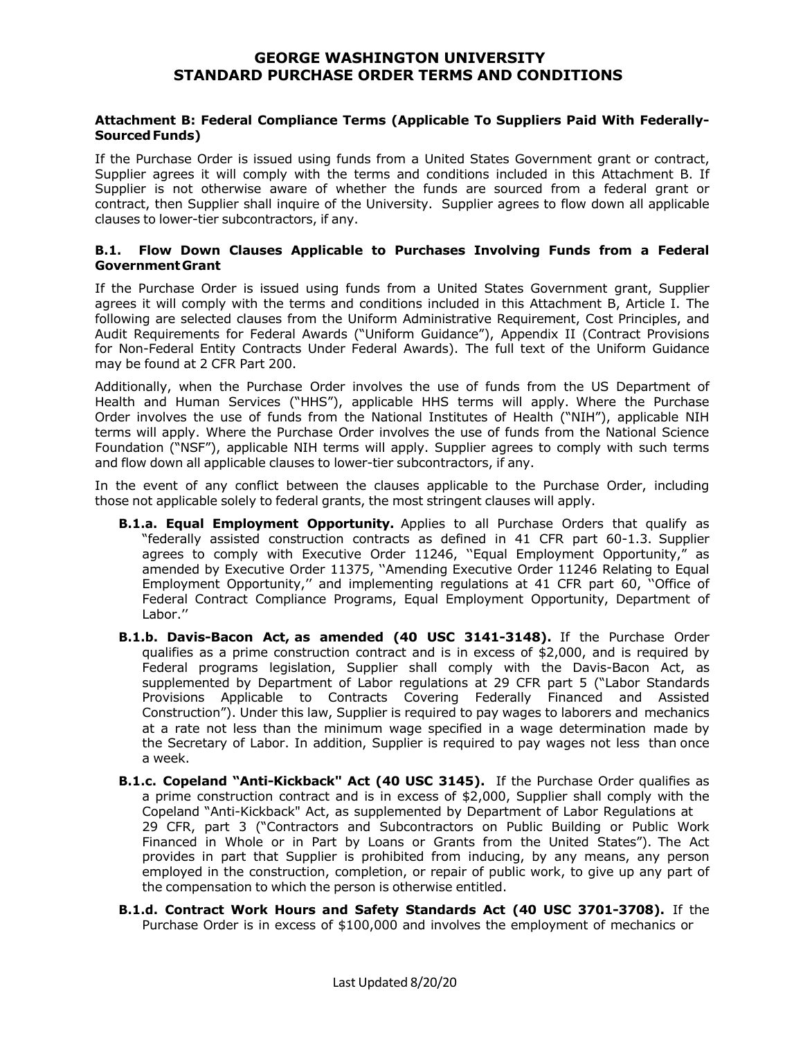#### **Attachment B: Federal Compliance Terms (Applicable To Suppliers Paid With Federally-SourcedFunds)**

If the Purchase Order is issued using funds from a United States Government grant or contract, Supplier agrees it will comply with the terms and conditions included in this Attachment B. If Supplier is not otherwise aware of whether the funds are sourced from a federal grant or contract, then Supplier shall inquire of the University. Supplier agrees to flow down all applicable clauses to lower-tier subcontractors, if any.

#### **B.1. Flow Down Clauses Applicable to Purchases Involving Funds from a Federal GovernmentGrant**

If the Purchase Order is issued using funds from a United States Government grant, Supplier agrees it will comply with the terms and conditions included in this Attachment B, Article I. The following are selected clauses from the Uniform Administrative Requirement, Cost Principles, and Audit Requirements for Federal Awards ("Uniform Guidance"), Appendix II (Contract Provisions for Non-Federal Entity Contracts Under Federal Awards). The full text of the Uniform Guidance may be found at 2 CFR Part 200.

Additionally, when the Purchase Order involves the use of funds from the US Department of Health and Human Services ("HHS"), applicable HHS terms will apply. Where the Purchase Order involves the use of funds from the National Institutes of Health ("NIH"), applicable NIH terms will apply. Where the Purchase Order involves the use of funds from the National Science Foundation ("NSF"), applicable NIH terms will apply. Supplier agrees to comply with such terms and flow down all applicable clauses to lower-tier subcontractors, if any.

In the event of any conflict between the clauses applicable to the Purchase Order, including those not applicable solely to federal grants, the most stringent clauses will apply.

- **B.1.a. Equal Employment Opportunity.** Applies to all Purchase Orders that qualify as "federally assisted construction contracts as defined in 41 CFR part 60-1.3. Supplier agrees to comply with Executive Order 11246, ''Equal Employment Opportunity," as amended by Executive Order 11375, ''Amending Executive Order 11246 Relating to Equal Employment Opportunity,'' and implementing regulations at 41 CFR part 60, ''Office of Federal Contract Compliance Programs, Equal Employment Opportunity, Department of Labor.''
- **B.1.b. Davis-Bacon Act, as amended (40 USC 3141-3148).** If the Purchase Order qualifies as a prime construction contract and is in excess of \$2,000, and is required by Federal programs legislation, Supplier shall comply with the Davis-Bacon Act, as supplemented by Department of Labor regulations at 29 CFR part 5 ("Labor Standards Provisions Applicable to Contracts Covering Federally Financed and Assisted Construction"). Under this law, Supplier is required to pay wages to laborers and mechanics at a rate not less than the minimum wage specified in a wage determination made by the Secretary of Labor. In addition, Supplier is required to pay wages not less than once a week.
- **B.1.c. Copeland "Anti-Kickback" Act (40 USC 3145).** If the Purchase Order qualifies as a prime construction contract and is in excess of \$2,000, Supplier shall comply with the Copeland "Anti-Kickback" Act, as supplemented by Department of Labor Regulations at 29 CFR, part 3 ("Contractors and Subcontractors on Public Building or Public Work Financed in Whole or in Part by Loans or Grants from the United States"). The Act provides in part that Supplier is prohibited from inducing, by any means, any person employed in the construction, completion, or repair of public work, to give up any part of the compensation to which the person is otherwise entitled.
- **B.1.d. Contract Work Hours and Safety Standards Act (40 USC 3701-3708).** If the Purchase Order is in excess of \$100,000 and involves the employment of mechanics or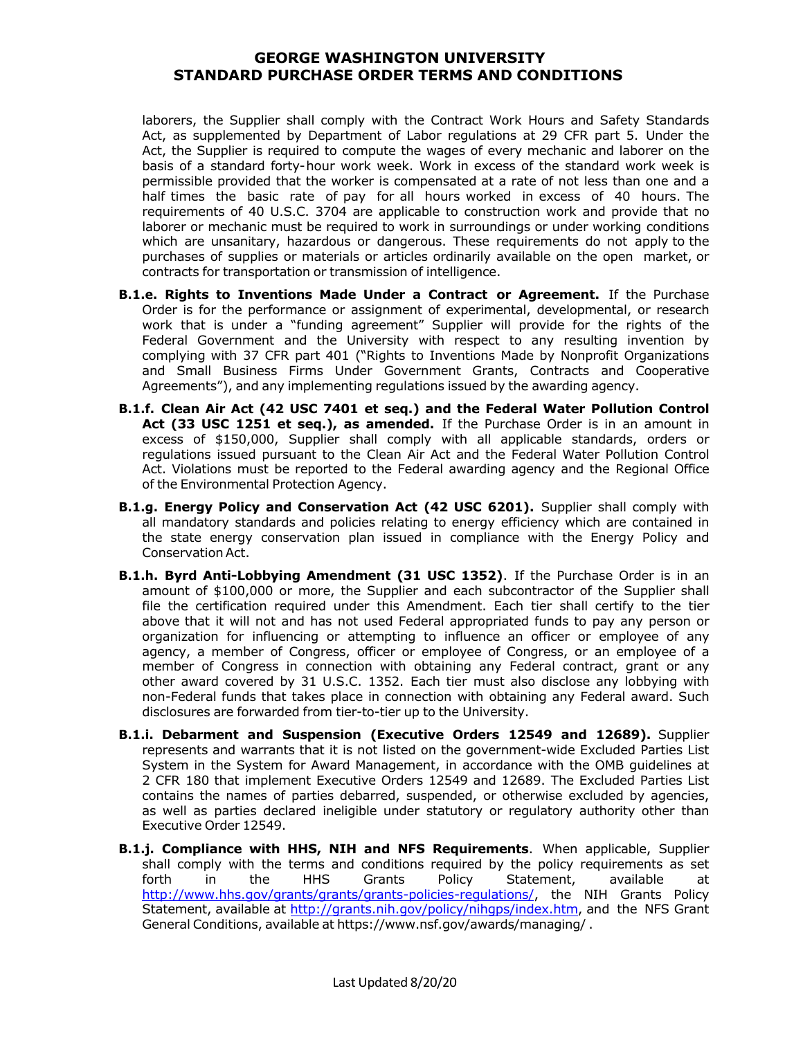laborers, the Supplier shall comply with the Contract Work Hours and Safety Standards Act, as supplemented by Department of Labor regulations at 29 CFR part 5. Under the Act, the Supplier is required to compute the wages of every mechanic and laborer on the basis of a standard forty-hour work week. Work in excess of the standard work week is permissible provided that the worker is compensated at a rate of not less than one and a half times the basic rate of pay for all hours worked in excess of 40 hours. The requirements of 40 U.S.C. 3704 are applicable to construction work and provide that no laborer or mechanic must be required to work in surroundings or under working conditions which are unsanitary, hazardous or dangerous. These requirements do not apply to the purchases of supplies or materials or articles ordinarily available on the open market, or contracts for transportation or transmission of intelligence.

- **B.1.e. Rights to Inventions Made Under a Contract or Agreement.** If the Purchase Order is for the performance or assignment of experimental, developmental, or research work that is under a "funding agreement" Supplier will provide for the rights of the Federal Government and the University with respect to any resulting invention by complying with 37 CFR part 401 ("Rights to Inventions Made by Nonprofit Organizations and Small Business Firms Under Government Grants, Contracts and Cooperative Agreements"), and any implementing regulations issued by the awarding agency.
- **B.1.f. Clean Air Act (42 USC 7401 et seq.) and the Federal Water Pollution Control Act (33 USC 1251 et seq.), as amended.** If the Purchase Order is in an amount in excess of \$150,000, Supplier shall comply with all applicable standards, orders or regulations issued pursuant to the Clean Air Act and the Federal Water Pollution Control Act. Violations must be reported to the Federal awarding agency and the Regional Office of the Environmental Protection Agency.
- **B.1.g. Energy Policy and Conservation Act (42 USC 6201).** Supplier shall comply with all mandatory standards and policies relating to energy efficiency which are contained in the state energy conservation plan issued in compliance with the Energy Policy and ConservationAct.
- **B.1.h. Byrd Anti-Lobbying Amendment (31 USC 1352)**. If the Purchase Order is in an amount of \$100,000 or more, the Supplier and each subcontractor of the Supplier shall file the certification required under this Amendment. Each tier shall certify to the tier above that it will not and has not used Federal appropriated funds to pay any person or organization for influencing or attempting to influence an officer or employee of any agency, a member of Congress, officer or employee of Congress, or an employee of a member of Congress in connection with obtaining any Federal contract, grant or any other award covered by 31 U.S.C. 1352. Each tier must also disclose any lobbying with non-Federal funds that takes place in connection with obtaining any Federal award. Such disclosures are forwarded from tier-to-tier up to the University.
- **B.1.i. Debarment and Suspension (Executive Orders 12549 and 12689).** Supplier represents and warrants that it is not listed on the government-wide Excluded Parties List System in the System for Award Management, in accordance with the OMB guidelines at 2 CFR 180 that implement Executive Orders 12549 and 12689. The Excluded Parties List contains the names of parties debarred, suspended, or otherwise excluded by agencies, as well as parties declared ineligible under statutory or regulatory authority other than Executive Order 12549.
- **B.1.j. Compliance with HHS, NIH and NFS Requirements**. When applicable, Supplier shall comply with the terms and conditions required by the policy requirements as set forth in the HHS Grants Policy Statement, available at http://www.hhs.gov/grants/grants/grants-policies-regulations/, the NIH Grants Policy Statement, available at http://grants.nih.gov/policy/nihgps/index.htm, and the NFS Grant General Conditions, available at https://www.nsf.gov/awards/managing/ .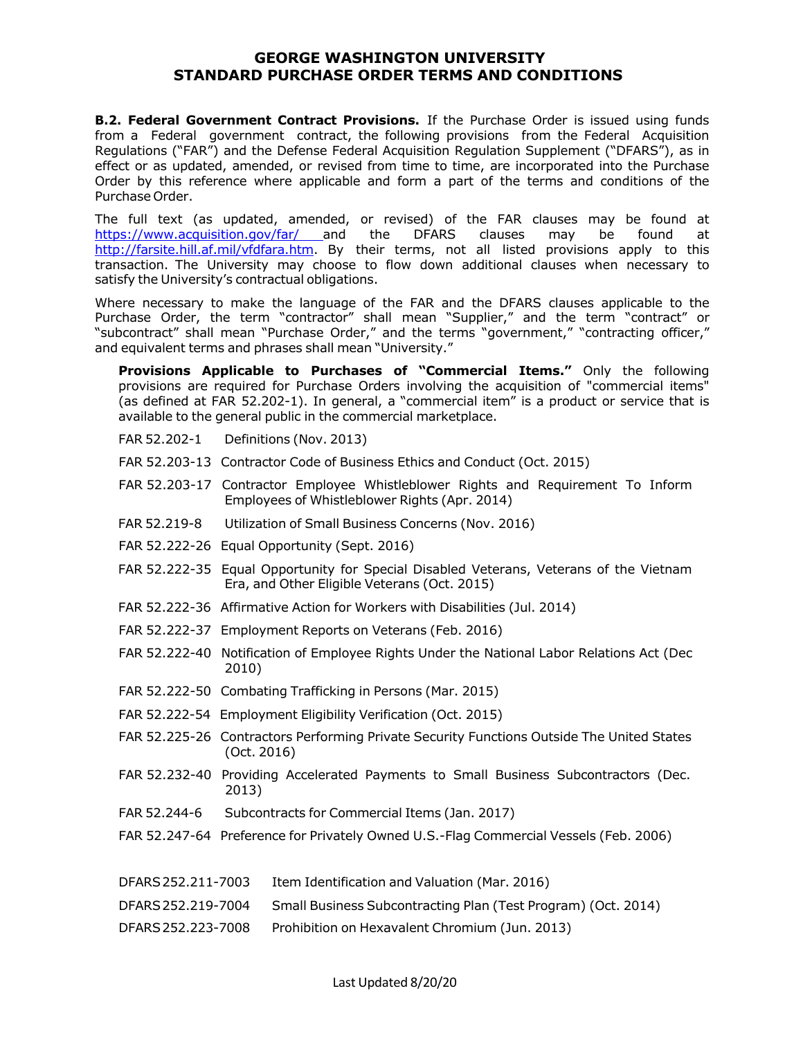**B.2. Federal Government Contract Provisions.** If the Purchase Order is issued using funds from a Federal government contract, the following provisions from the Federal Acquisition Regulations ("FAR") and the Defense Federal Acquisition Regulation Supplement ("DFARS"), as in effect or as updated, amended, or revised from time to time, are incorporated into the Purchase Order by this reference where applicable and form a part of the terms and conditions of the Purchase Order.

The full text (as updated, amended, or revised) of the FAR clauses may be found at https://www.acquisition.gov/far/ and the DFARS clauses may be found at https://www.acquisition.gov/far/ and the DFARS clauses may be found at http://farsite.hill.af.mil/vfdfara.htm. By their terms, not all listed provisions apply to this transaction. The University may choose to flow down additional clauses when necessary to satisfy the University's contractual obligations.

Where necessary to make the language of the FAR and the DFARS clauses applicable to the Purchase Order, the term "contractor" shall mean "Supplier," and the term "contract" or "subcontract" shall mean "Purchase Order," and the terms "government," "contracting officer," and equivalent terms and phrases shall mean "University."

**Provisions Applicable to Purchases of "Commercial Items."** Only the following provisions are required for Purchase Orders involving the acquisition of "commercial items" (as defined at FAR 52.202-1). In general, a "commercial item" is a product or service that is available to the general public in the commercial marketplace.

- FAR 52.202-1 Definitions (Nov. 2013)
- FAR 52.203-13 Contractor Code of Business Ethics and Conduct (Oct. 2015)
- FAR 52.203-17 Contractor Employee Whistleblower Rights and Requirement To Inform Employees of Whistleblower Rights (Apr. 2014)
- FAR 52.219-8 Utilization of Small Business Concerns (Nov. 2016)
- FAR 52.222-26 Equal Opportunity (Sept. 2016)
- FAR 52.222-35 Equal Opportunity for Special Disabled Veterans, Veterans of the Vietnam Era, and Other Eligible Veterans (Oct. 2015)
- FAR 52.222-36 Affirmative Action for Workers with Disabilities (Jul. 2014)
- FAR 52.222-37 Employment Reports on Veterans (Feb. 2016)
- FAR 52.222-40 Notification of Employee Rights Under the National Labor Relations Act (Dec 2010)
- FAR 52.222-50 Combating Trafficking in Persons (Mar. 2015)
- FAR 52.222-54 Employment Eligibility Verification (Oct. 2015)
- FAR 52.225-26 Contractors Performing Private Security Functions Outside The United States (Oct. 2016)
- FAR 52.232-40 Providing Accelerated Payments to Small Business Subcontractors (Dec. 2013)
- FAR 52.244-6 Subcontracts for Commercial Items (Jan. 2017)
- FAR 52.247-64 Preference for Privately Owned U.S.-Flag Commercial Vessels (Feb. 2006)

| DFARS 252.211-7003 | Item Identification and Valuation (Mar. 2016) |  |
|--------------------|-----------------------------------------------|--|
|--------------------|-----------------------------------------------|--|

- DFARS252.219-7004 Small Business Subcontracting Plan (Test Program) (Oct. 2014)
- DFARS252.223-7008 Prohibition on Hexavalent Chromium (Jun. 2013)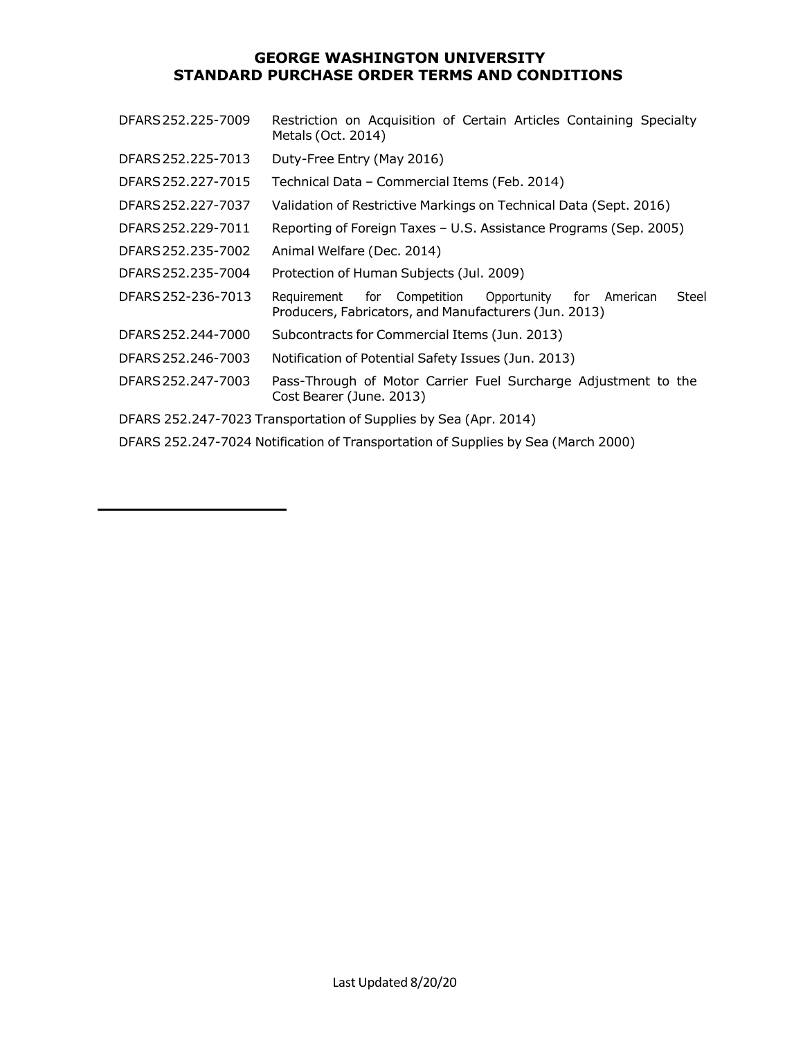| DFARS 252.225-7009                                                                | Restriction on Acquisition of Certain Articles Containing Specialty<br>Metals (Oct. 2014)                                       |  |
|-----------------------------------------------------------------------------------|---------------------------------------------------------------------------------------------------------------------------------|--|
| DFARS 252.225-7013                                                                | Duty-Free Entry (May 2016)                                                                                                      |  |
| DFARS 252.227-7015                                                                | Technical Data - Commercial Items (Feb. 2014)                                                                                   |  |
| DFARS 252.227-7037                                                                | Validation of Restrictive Markings on Technical Data (Sept. 2016)                                                               |  |
| DFARS 252.229-7011                                                                | Reporting of Foreign Taxes - U.S. Assistance Programs (Sep. 2005)                                                               |  |
| DFARS 252.235-7002                                                                | Animal Welfare (Dec. 2014)                                                                                                      |  |
| DFARS 252.235-7004                                                                | Protection of Human Subjects (Jul. 2009)                                                                                        |  |
| DFARS 252-236-7013                                                                | for Competition<br>Opportunity<br>for American<br>Steel<br>Requirement<br>Producers, Fabricators, and Manufacturers (Jun. 2013) |  |
| DFARS 252.244-7000                                                                | Subcontracts for Commercial Items (Jun. 2013)                                                                                   |  |
| DFARS 252.246-7003                                                                | Notification of Potential Safety Issues (Jun. 2013)                                                                             |  |
| DFARS 252.247-7003                                                                | Pass-Through of Motor Carrier Fuel Surcharge Adjustment to the<br>Cost Bearer (June. 2013)                                      |  |
| DFARS 252.247-7023 Transportation of Supplies by Sea (Apr. 2014)                  |                                                                                                                                 |  |
| DFARS 252.247-7024 Notification of Transportation of Supplies by Sea (March 2000) |                                                                                                                                 |  |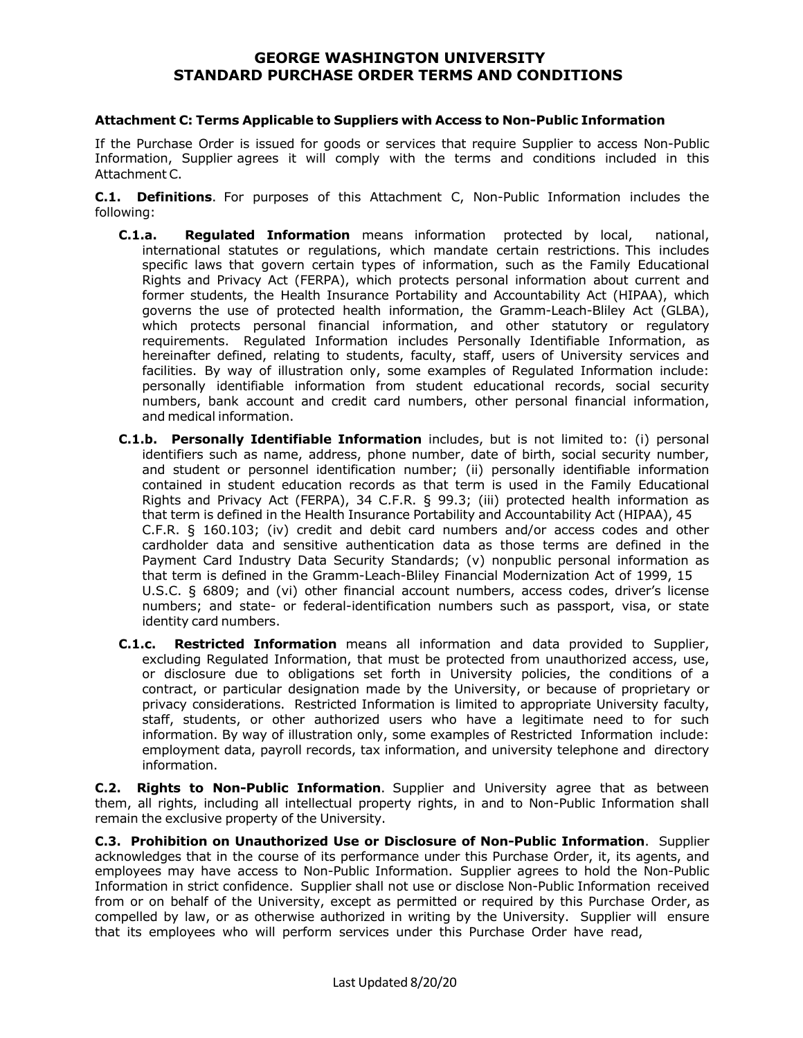#### **Attachment C: Terms Applicable to Suppliers with Access to Non-Public Information**

If the Purchase Order is issued for goods or services that require Supplier to access Non-Public Information, Supplier agrees it will comply with the terms and conditions included in this Attachment C.

**C.1. Definitions**. For purposes of this Attachment C, Non-Public Information includes the following:

- **C.1.a. Regulated Information** means information protected by local, national, international statutes or regulations, which mandate certain restrictions. This includes specific laws that govern certain types of information, such as the Family Educational Rights and Privacy Act (FERPA), which protects personal information about current and former students, the Health Insurance Portability and Accountability Act (HIPAA), which governs the use of protected health information, the Gramm-Leach-Bliley Act (GLBA), which protects personal financial information, and other statutory or regulatory requirements. Regulated Information includes Personally Identifiable Information, as hereinafter defined, relating to students, faculty, staff, users of University services and facilities. By way of illustration only, some examples of Regulated Information include: personally identifiable information from student educational records, social security numbers, bank account and credit card numbers, other personal financial information, and medical information.
- **C.1.b. Personally Identifiable Information** includes, but is not limited to: (i) personal identifiers such as name, address, phone number, date of birth, social security number, and student or personnel identification number; (ii) personally identifiable information contained in student education records as that term is used in the Family Educational Rights and Privacy Act (FERPA), 34 C.F.R. § 99.3; (iii) protected health information as that term is defined in the Health Insurance Portability and Accountability Act (HIPAA), 45 C.F.R. § 160.103; (iv) credit and debit card numbers and/or access codes and other cardholder data and sensitive authentication data as those terms are defined in the Payment Card Industry Data Security Standards; (v) nonpublic personal information as that term is defined in the Gramm-Leach-Bliley Financial Modernization Act of 1999, 15 U.S.C. § 6809; and (vi) other financial account numbers, access codes, driver's license numbers; and state- or federal-identification numbers such as passport, visa, or state identity card numbers.
- **C.1.c. Restricted Information** means all information and data provided to Supplier, excluding Regulated Information, that must be protected from unauthorized access, use, or disclosure due to obligations set forth in University policies, the conditions of a contract, or particular designation made by the University, or because of proprietary or privacy considerations. Restricted Information is limited to appropriate University faculty, staff, students, or other authorized users who have a legitimate need to for such information. By way of illustration only, some examples of Restricted Information include: employment data, payroll records, tax information, and university telephone and directory information.

**C.2. Rights to Non-Public Information**. Supplier and University agree that as between them, all rights, including all intellectual property rights, in and to Non-Public Information shall remain the exclusive property of the University.

**C.3. Prohibition on Unauthorized Use or Disclosure of Non-Public Information**. Supplier acknowledges that in the course of its performance under this Purchase Order, it, its agents, and employees may have access to Non-Public Information. Supplier agrees to hold the Non-Public Information in strict confidence. Supplier shall not use or disclose Non-Public Information received from or on behalf of the University, except as permitted or required by this Purchase Order, as compelled by law, or as otherwise authorized in writing by the University. Supplier will ensure that its employees who will perform services under this Purchase Order have read,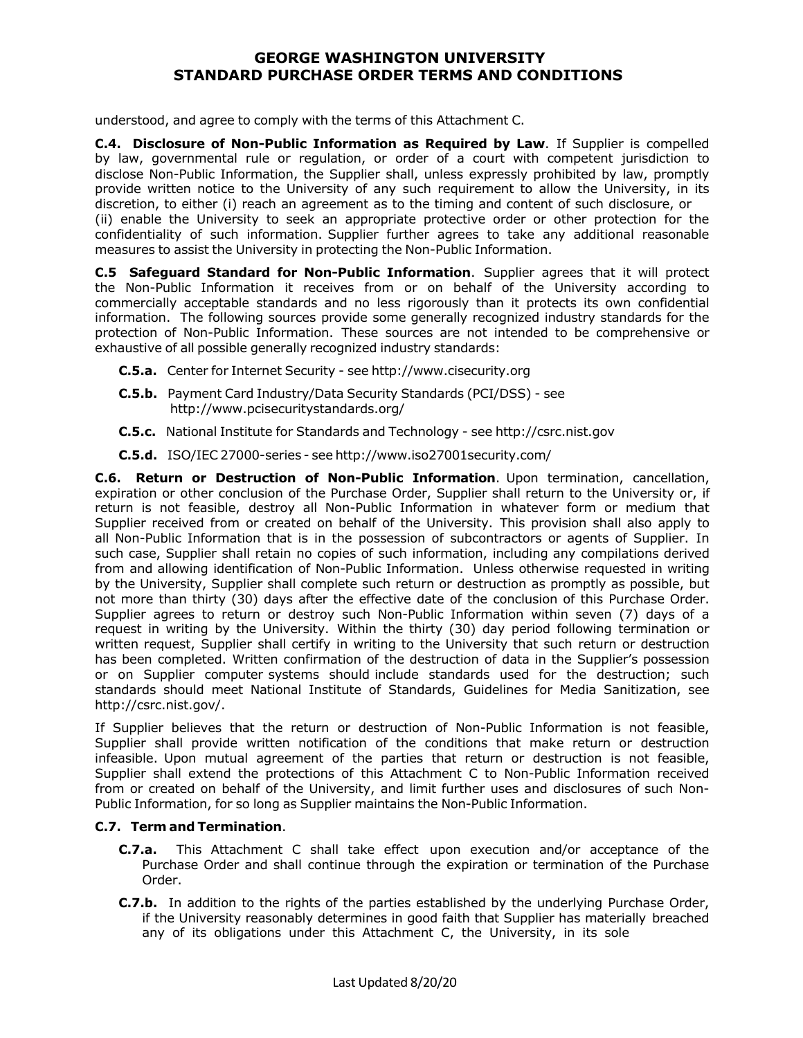understood, and agree to comply with the terms of this Attachment C.

**C.4. Disclosure of Non-Public Information as Required by Law**. If Supplier is compelled by law, governmental rule or regulation, or order of a court with competent jurisdiction to disclose Non-Public Information, the Supplier shall, unless expressly prohibited by law, promptly provide written notice to the University of any such requirement to allow the University, in its discretion, to either (i) reach an agreement as to the timing and content of such disclosure, or (ii) enable the University to seek an appropriate protective order or other protection for the confidentiality of such information. Supplier further agrees to take any additional reasonable measures to assist the University in protecting the Non-Public Information.

**C.5 Safeguard Standard for Non-Public Information**. Supplier agrees that it will protect the Non-Public Information it receives from or on behalf of the University according to commercially acceptable standards and no less rigorously than it protects its own confidential information. The following sources provide some generally recognized industry standards for the protection of Non-Public Information. These sources are not intended to be comprehensive or exhaustive of all possible generally recognized industry standards:

- **C.5.a.** Center for Internet Security see http://www.cisecurity.org
- **C.5.b.** Payment Card Industry/Data Security Standards (PCI/DSS) see http://www.pcisecuritystandards.org/
- **C.5.c.** National Institute for Standards and Technology see http://csrc.nist.gov
- **C.5.d.** ISO/IEC27000-series see http://www.iso27001security.com/

**C.6. Return or Destruction of Non-Public Information**. Upon termination, cancellation, expiration or other conclusion of the Purchase Order, Supplier shall return to the University or, if return is not feasible, destroy all Non-Public Information in whatever form or medium that Supplier received from or created on behalf of the University. This provision shall also apply to all Non-Public Information that is in the possession of subcontractors or agents of Supplier. In such case, Supplier shall retain no copies of such information, including any compilations derived from and allowing identification of Non-Public Information. Unless otherwise requested in writing by the University, Supplier shall complete such return or destruction as promptly as possible, but not more than thirty (30) days after the effective date of the conclusion of this Purchase Order. Supplier agrees to return or destroy such Non-Public Information within seven (7) days of a request in writing by the University. Within the thirty (30) day period following termination or written request, Supplier shall certify in writing to the University that such return or destruction has been completed. Written confirmation of the destruction of data in the Supplier's possession or on Supplier computer systems should include standards used for the destruction; such standards should meet National Institute of Standards, Guidelines for Media Sanitization, see http://csrc.nist.gov/.

If Supplier believes that the return or destruction of Non-Public Information is not feasible, Supplier shall provide written notification of the conditions that make return or destruction infeasible. Upon mutual agreement of the parties that return or destruction is not feasible, Supplier shall extend the protections of this Attachment C to Non-Public Information received from or created on behalf of the University, and limit further uses and disclosures of such Non-Public Information, for so long as Supplier maintains the Non-Public Information.

#### **C.7. Term and Termination**.

- **C.7.a.** This Attachment C shall take effect upon execution and/or acceptance of the Purchase Order and shall continue through the expiration or termination of the Purchase Order.
- **C.7.b.** In addition to the rights of the parties established by the underlying Purchase Order, if the University reasonably determines in good faith that Supplier has materially breached any of its obligations under this Attachment C, the University, in its sole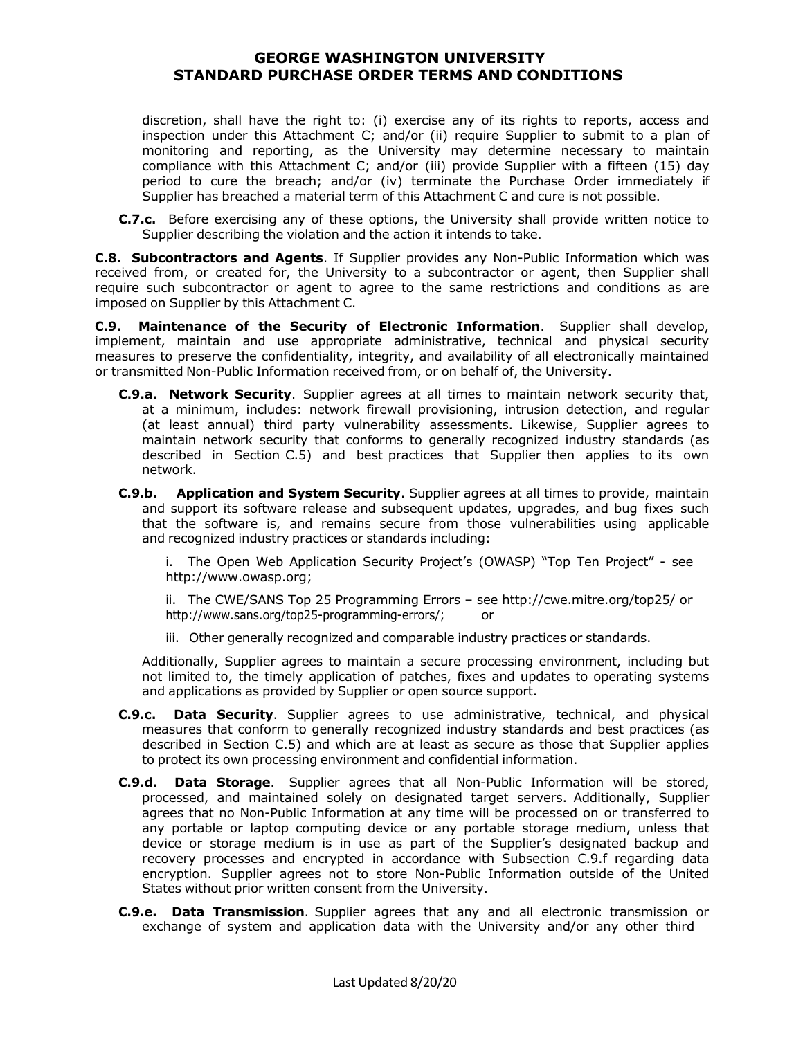discretion, shall have the right to: (i) exercise any of its rights to reports, access and inspection under this Attachment C; and/or (ii) require Supplier to submit to a plan of monitoring and reporting, as the University may determine necessary to maintain compliance with this Attachment C; and/or (iii) provide Supplier with a fifteen (15) day period to cure the breach; and/or (iv) terminate the Purchase Order immediately if Supplier has breached a material term of this Attachment C and cure is not possible.

**C.7.c.** Before exercising any of these options, the University shall provide written notice to Supplier describing the violation and the action it intends to take.

**C.8. Subcontractors and Agents**. If Supplier provides any Non-Public Information which was received from, or created for, the University to a subcontractor or agent, then Supplier shall require such subcontractor or agent to agree to the same restrictions and conditions as are imposed on Supplier by this Attachment C.

**C.9. Maintenance of the Security of Electronic Information**. Supplier shall develop, implement, maintain and use appropriate administrative, technical and physical security measures to preserve the confidentiality, integrity, and availability of all electronically maintained or transmitted Non-Public Information received from, or on behalf of, the University.

- **C.9.a. Network Security**. Supplier agrees at all times to maintain network security that, at a minimum, includes: network firewall provisioning, intrusion detection, and regular (at least annual) third party vulnerability assessments. Likewise, Supplier agrees to maintain network security that conforms to generally recognized industry standards (as described in Section C.5) and best practices that Supplier then applies to its own network.
- **C.9.b. Application and System Security**. Supplier agrees at all times to provide, maintain and support its software release and subsequent updates, upgrades, and bug fixes such that the software is, and remains secure from those vulnerabilities using applicable and recognized industry practices or standards including:

i. The Open Web Application Security Project's (OWASP) "Top Ten Project" - see http://www.owasp.org;

ii. The CWE/SANS Top 25 Programming Errors – see http://cwe.mitre.org/top25/ or http://www.sans.org/top25-programming-errors/; or

iii. Other generally recognized and comparable industry practices or standards.

Additionally, Supplier agrees to maintain a secure processing environment, including but not limited to, the timely application of patches, fixes and updates to operating systems and applications as provided by Supplier or open source support.

- **C.9.c. Data Security**. Supplier agrees to use administrative, technical, and physical measures that conform to generally recognized industry standards and best practices (as described in Section C.5) and which are at least as secure as those that Supplier applies to protect its own processing environment and confidential information.
- **C.9.d. Data Storage**. Supplier agrees that all Non-Public Information will be stored, processed, and maintained solely on designated target servers. Additionally, Supplier agrees that no Non-Public Information at any time will be processed on or transferred to any portable or laptop computing device or any portable storage medium, unless that device or storage medium is in use as part of the Supplier's designated backup and recovery processes and encrypted in accordance with Subsection C.9.f regarding data encryption. Supplier agrees not to store Non-Public Information outside of the United States without prior written consent from the University.
- **C.9.e. Data Transmission**. Supplier agrees that any and all electronic transmission or exchange of system and application data with the University and/or any other third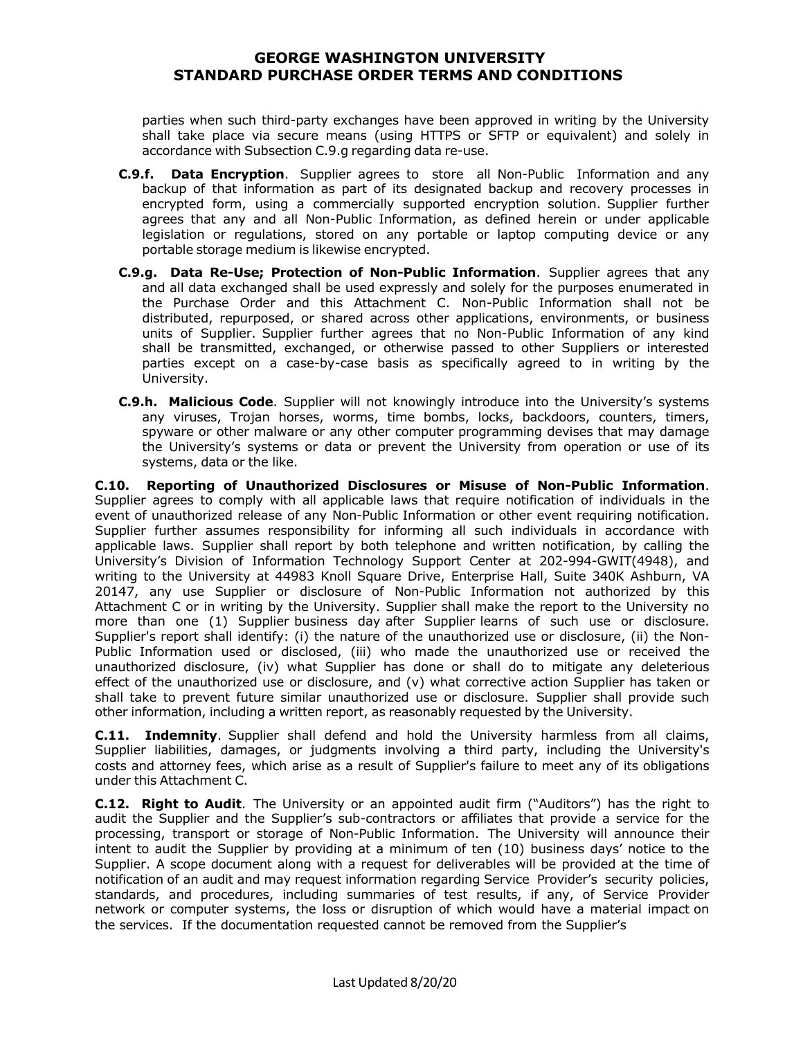parties when such third-party exchanges have been approved in writing by the University shall take place via secure means (using HTTPS or SFTP or equivalent) and solely in accordance with Subsection C.9.g regarding data re-use.

- **C.9.f. Data Encryption**. Supplier agrees to store all Non-Public Information and any backup of that information as part of its designated backup and recovery processes in encrypted form, using a commercially supported encryption solution. Supplier further agrees that any and all Non-Public Information, as defined herein or under applicable legislation or regulations, stored on any portable or laptop computing device or any portable storage medium is likewise encrypted.
- **C.9.g. Data Re-Use; Protection of Non-Public Information**. Supplier agrees that any and all data exchanged shall be used expressly and solely for the purposes enumerated in the Purchase Order and this Attachment C. Non-Public Information shall not be distributed, repurposed, or shared across other applications, environments, or business units of Supplier. Supplier further agrees that no Non-Public Information of any kind shall be transmitted, exchanged, or otherwise passed to other Suppliers or interested parties except on a case-by-case basis as specifically agreed to in writing by the University.
- **C.9.h. Malicious Code**. Supplier will not knowingly introduce into the University's systems any viruses, Trojan horses, worms, time bombs, locks, backdoors, counters, timers, spyware or other malware or any other computer programming devises that may damage the University's systems or data or prevent the University from operation or use of its systems, data or the like.

**C.10. Reporting of Unauthorized Disclosures or Misuse of Non-Public Information**. Supplier agrees to comply with all applicable laws that require notification of individuals in the event of unauthorized release of any Non-Public Information or other event requiring notification. Supplier further assumes responsibility for informing all such individuals in accordance with applicable laws. Supplier shall report by both telephone and written notification, by calling the University's Division of Information Technology Support Center at 202-994-GWIT(4948), and writing to the University at 44983 Knoll Square Drive, Enterprise Hall, Suite 340K Ashburn, VA 20147, any use Supplier or disclosure of Non-Public Information not authorized by this Attachment C or in writing by the University. Supplier shall make the report to the University no more than one (1) Supplier business day after Supplier learns of such use or disclosure. Supplier's report shall identify: (i) the nature of the unauthorized use or disclosure, (ii) the Non-Public Information used or disclosed, (iii) who made the unauthorized use or received the unauthorized disclosure, (iv) what Supplier has done or shall do to mitigate any deleterious effect of the unauthorized use or disclosure, and (v) what corrective action Supplier has taken or shall take to prevent future similar unauthorized use or disclosure. Supplier shall provide such other information, including a written report, as reasonably requested by the University.

**C.11. Indemnity**. Supplier shall defend and hold the University harmless from all claims, Supplier liabilities, damages, or judgments involving a third party, including the University's costs and attorney fees, which arise as a result of Supplier's failure to meet any of its obligations under this Attachment C.

**C.12. Right to Audit**. The University or an appointed audit firm ("Auditors") has the right to audit the Supplier and the Supplier's sub-contractors or affiliates that provide a service for the processing, transport or storage of Non-Public Information. The University will announce their intent to audit the Supplier by providing at a minimum of ten (10) business days' notice to the Supplier. A scope document along with a request for deliverables will be provided at the time of notification of an audit and may request information regarding Service Provider's security policies, standards, and procedures, including summaries of test results, if any, of Service Provider network or computer systems, the loss or disruption of which would have a material impact on the services. If the documentation requested cannot be removed from the Supplier's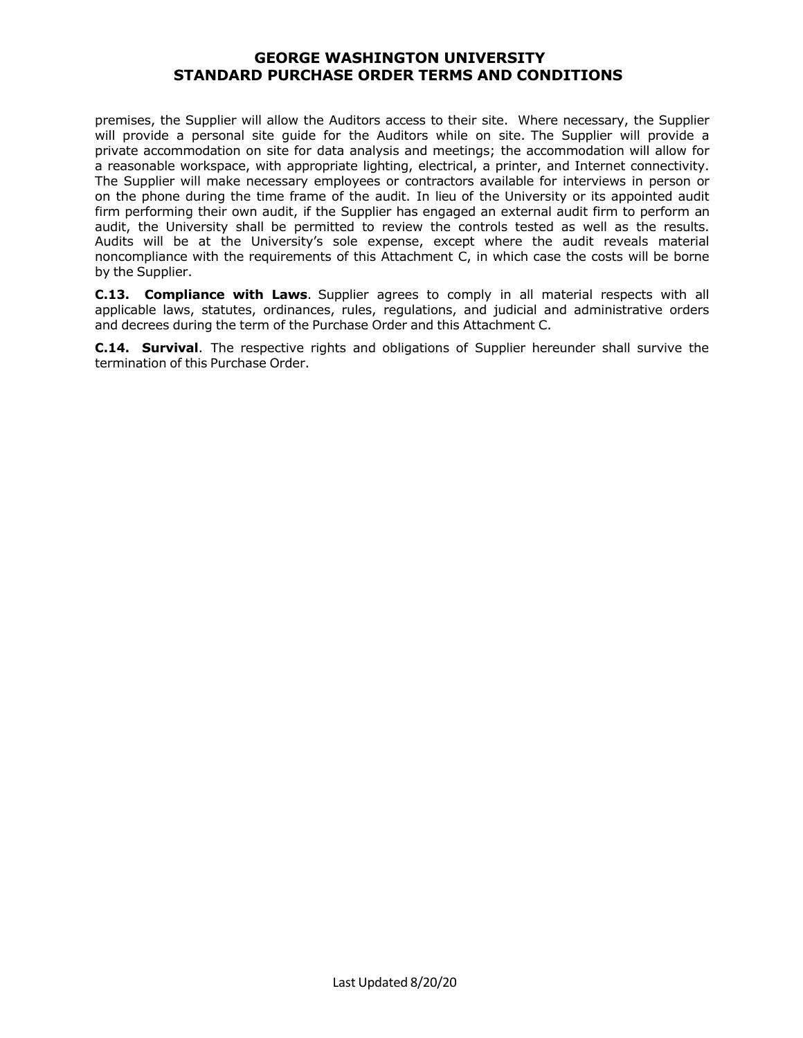premises, the Supplier will allow the Auditors access to their site. Where necessary, the Supplier will provide a personal site guide for the Auditors while on site. The Supplier will provide a private accommodation on site for data analysis and meetings; the accommodation will allow for a reasonable workspace, with appropriate lighting, electrical, a printer, and Internet connectivity. The Supplier will make necessary employees or contractors available for interviews in person or on the phone during the time frame of the audit. In lieu of the University or its appointed audit firm performing their own audit, if the Supplier has engaged an external audit firm to perform an audit, the University shall be permitted to review the controls tested as well as the results. Audits will be at the University's sole expense, except where the audit reveals material noncompliance with the requirements of this Attachment C, in which case the costs will be borne by the Supplier.

**C.13. Compliance with Laws**. Supplier agrees to comply in all material respects with all applicable laws, statutes, ordinances, rules, regulations, and judicial and administrative orders and decrees during the term of the Purchase Order and this Attachment C.

**C.14. Survival**. The respective rights and obligations of Supplier hereunder shall survive the termination of this Purchase Order.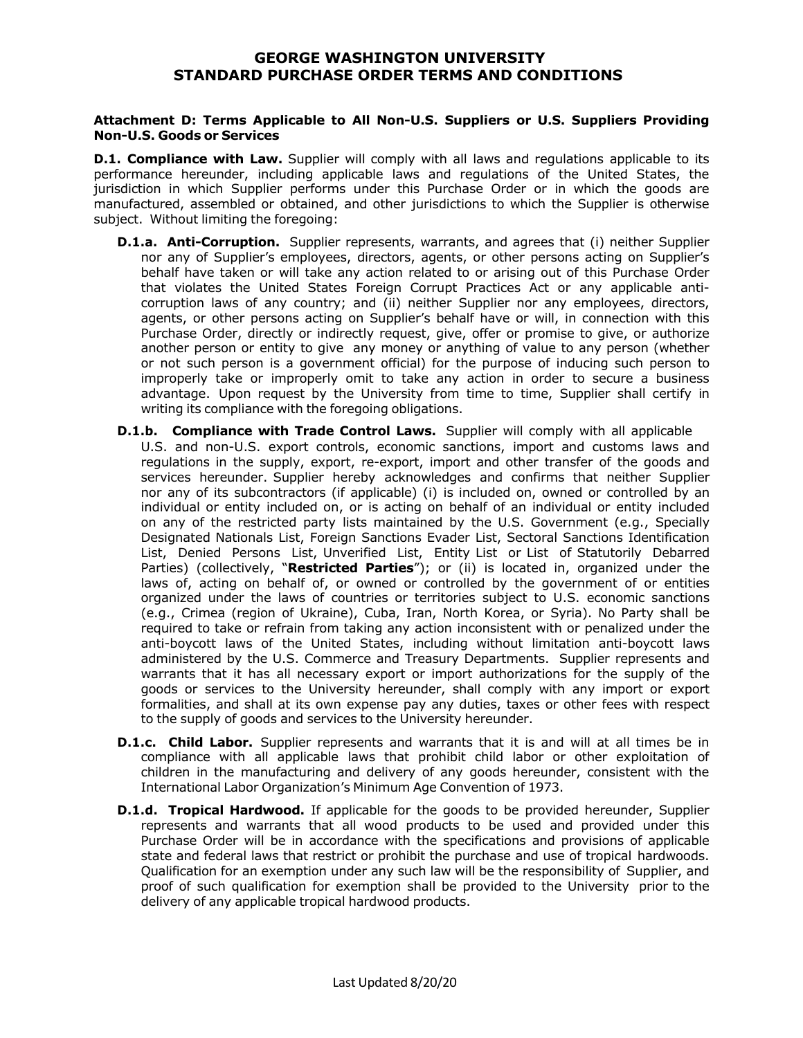#### **Attachment D: Terms Applicable to All Non-U.S. Suppliers or U.S. Suppliers Providing Non-U.S. Goods or Services**

**D.1. Compliance with Law.** Supplier will comply with all laws and regulations applicable to its performance hereunder, including applicable laws and regulations of the United States, the jurisdiction in which Supplier performs under this Purchase Order or in which the goods are manufactured, assembled or obtained, and other jurisdictions to which the Supplier is otherwise subject. Without limiting the foregoing:

- **D.1.a. Anti-Corruption.** Supplier represents, warrants, and agrees that (i) neither Supplier nor any of Supplier's employees, directors, agents, or other persons acting on Supplier's behalf have taken or will take any action related to or arising out of this Purchase Order that violates the United States Foreign Corrupt Practices Act or any applicable anticorruption laws of any country; and (ii) neither Supplier nor any employees, directors, agents, or other persons acting on Supplier's behalf have or will, in connection with this Purchase Order, directly or indirectly request, give, offer or promise to give, or authorize another person or entity to give any money or anything of value to any person (whether or not such person is a government official) for the purpose of inducing such person to improperly take or improperly omit to take any action in order to secure a business advantage. Upon request by the University from time to time, Supplier shall certify in writing its compliance with the foregoing obligations.
- **D.1.b. Compliance with Trade Control Laws.** Supplier will comply with all applicable U.S. and non-U.S. export controls, economic sanctions, import and customs laws and regulations in the supply, export, re-export, import and other transfer of the goods and services hereunder. Supplier hereby acknowledges and confirms that neither Supplier nor any of its subcontractors (if applicable) (i) is included on, owned or controlled by an individual or entity included on, or is acting on behalf of an individual or entity included on any of the restricted party lists maintained by the U.S. Government (e.g., Specially Designated Nationals List, Foreign Sanctions Evader List, Sectoral Sanctions Identification List, Denied Persons List, Unverified List, Entity List or List of Statutorily Debarred Parties) (collectively, "**Restricted Parties**"); or (ii) is located in, organized under the laws of, acting on behalf of, or owned or controlled by the government of or entities organized under the laws of countries or territories subject to U.S. economic sanctions (e.g., Crimea (region of Ukraine), Cuba, Iran, North Korea, or Syria). No Party shall be required to take or refrain from taking any action inconsistent with or penalized under the anti-boycott laws of the United States, including without limitation anti-boycott laws administered by the U.S. Commerce and Treasury Departments. Supplier represents and warrants that it has all necessary export or import authorizations for the supply of the goods or services to the University hereunder, shall comply with any import or export formalities, and shall at its own expense pay any duties, taxes or other fees with respect to the supply of goods and services to the University hereunder.
- **D.1.c. Child Labor.** Supplier represents and warrants that it is and will at all times be in compliance with all applicable laws that prohibit child labor or other exploitation of children in the manufacturing and delivery of any goods hereunder, consistent with the International Labor Organization's Minimum Age Convention of 1973.
- **D.1.d. Tropical Hardwood.** If applicable for the goods to be provided hereunder, Supplier represents and warrants that all wood products to be used and provided under this Purchase Order will be in accordance with the specifications and provisions of applicable state and federal laws that restrict or prohibit the purchase and use of tropical hardwoods. Qualification for an exemption under any such law will be the responsibility of Supplier, and proof of such qualification for exemption shall be provided to the University prior to the delivery of any applicable tropical hardwood products.